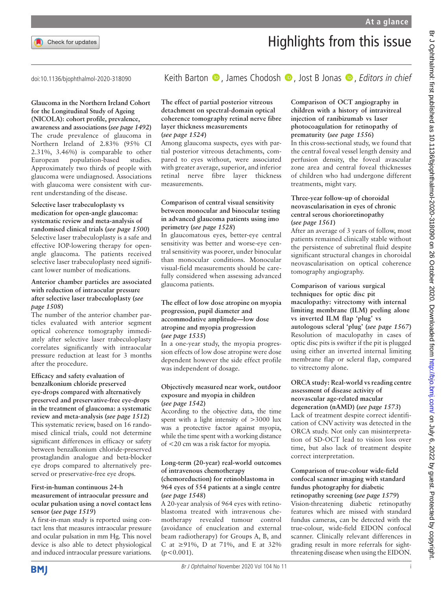

# Highlights from this issue

# Glaucoma in the Northern Ireland Cohort for the Longitudinal Study of Ageing (NICOLA): cohort profile, prevalence, awareness and associations (see page 1492) The crude prevalence of glaucoma in

Northern Ireland of 2.83% (95% CI 2.31%, 3.46%) is comparable to other European population-based studies. Approximately two thirds of people with glaucoma were undiagnosed. Associations with glaucoma were consistent with current understanding of the disease.

#### Selective laser trabeculoplasty vs medication for open-angle glaucoma: systematic review and meta-analysis of randomised clinical trials (see page 1500) Selective laser trabeculoplasty is a safe and effective IOP-lowering therapy for openangle glaucoma. The patients received selective laser trabeculoplasty need significant lower number of medications.

# Anterior chamber particles are associated with reduction of intraocular pressure after selective laser trabeculoplasty (see page 1508)

The number of the anterior chamber particles evaluated with anterior segment optical coherence tomography immediately after selective laser trabeculoplasty correlates significantly with intraocular pressure reduction at least for 3 months after the procedure.

## Efficacy and safety evaluation of benzalkonium chloride preserved eye-drops compared with alternatively preserved and preservative-free eye-drops in the treatment of glaucoma: a systematic review and meta-analysis (see page 1512) This systematic review, based on 16 randomised clinical trials, could not determine significant differences in efficacy or safety between benzalkonium chloride-preserved prostaglandin analogue and beta-blocker eye drops compared to alternatively preserved or preservative-free eye drops.

# First-in-human continuous 24-h measurement of intraocular pressure and ocular pulsation using a novel contact lens

sensor (see page 1519) A first-in-man study is reported using contact lens that measures intraocular pressure and ocular pulsation in mm Hg. This novel device is also able to detect physiological and induced intraocular pressure variations.

# doi:10.1136/bjophthalmol-2020-318090 Keith Barton **D**, James Chodosh **D**, Jost B Jonas **D**, Editors in chief

#### The effect of partial posterior vitreous detachment on spectral-domain optical coherence tomography retinal nerve fibre layer thickness measurements (see page 1524)

Among glaucoma suspects, eyes with partial posterior vitreous detachments, compared to eyes without, were associated with greater average, superior, and inferior retinal nerve fibre layer thickness measurements.

## Comparison of central visual sensitivity between monocular and binocular testing in advanced glaucoma patients using imo perimetry (see page 1528)

In glaucomatous eyes, better-eye central sensitivity was better and worse-eye central sensitivity was poorer, under binocular than monocular conditions. Monocular visual-field measurements should be carefully considered when assessing advanced glaucoma patients.

## The effect of low dose atropine on myopia progression, pupil diameter and accommodative amplitude—low dose atropine and myopia progression (see page 1535)

In a one-year study, the myopia progression effects of low dose atropine were dose dependent however the side effect profile was independent of dosage.

#### Objectively measured near work, outdoor exposure and myopia in children (see page 1542)

According to the objective data, the time spent with a light intensity of >3000 lux was a protective factor against myopia, while the time spent with a working distance of <20 cm was a risk factor for myopia.

# Long-term (20-year) real-world outcomes of intravenous chemotherapy

## (chemoreduction) for retinoblastoma in 964 eyes of 554 patients at a single centre (see page 1548)

A 20-year analysis of 964 eyes with retinoblastoma treated with intravenous chemotherapy revealed tumour control (avoidance of enucleation and external beam radiotherapy) for Groups A, B, and C at ≥91%, D at 71%, and E at 32%  $(p<0.001)$ .

# Comparison of OCT angiography in children with a history of intravitreal injection of ranibizumab vs laser photocoagulation for retinopathy of prematurity (see page 1556)

In this cross-sectional study, we found that the central foveal vessel length density and perfusion density, the foveal avascular zone area and central foveal thicknesses of children who had undergone different treatments, might vary.

# Three-year follow-up of choroidal neovascularisation in eyes of chronic central serous chorioretinopathy (see page 1561)

After an average of 3 years of follow, most patients remained clinically stable without the persistence of subretinal fluid despite significant structural changes in choroidal neovascularisation on optical coherence tomography angiography.

Comparison of various surgical techniques for optic disc pit maculopathy: vitrectomy with internal limiting membrane (ILM) peeling alone vs inverted ILM flap 'plug' vs autologous scleral 'plug' (see page 1567) Resolution of maculopathy in cases of optic disc pits is swifter if the pit is plugged using either an inverted internal limiting membrane flap or scleral flap, compared to vitrectomy alone.

# ORCA study: Real-world vs reading centre assessment of disease activity of neovascular age-related macular degeneration (nAMD) (see page 1573)

Lack of treatment despite correct identification of CNV activity was detected in the ORCA study. Not only can misinterpretation of SD-OCT lead to vision loss over time, but also lack of treatment despite correct interpretation.

## Comparison of true-colour wide-field confocal scanner imaging with standard fundus photography for diabetic retinopathy screening (see page 1579) Vision-threatening diabetic retinopathy

features which are missed with standard fundus cameras, can be detected with the true-colour, wide-field EIDON confocal scanner. Clinically relevant differences in grading result in more referrals for sightthreatening disease when using the EIDON.